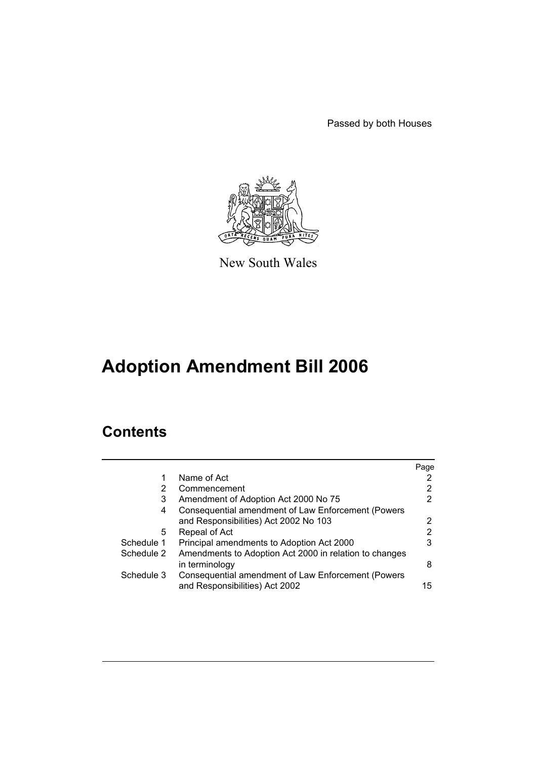Passed by both Houses



New South Wales

# **Adoption Amendment Bill 2006**

# **Contents**

|            |                                                                          | Page |
|------------|--------------------------------------------------------------------------|------|
| 1          | Name of Act                                                              |      |
| 2          | Commencement                                                             | 2    |
| 3          | Amendment of Adoption Act 2000 No 75                                     |      |
| 4          | Consequential amendment of Law Enforcement (Powers                       |      |
|            | and Responsibilities) Act 2002 No 103                                    |      |
| 5          | Repeal of Act                                                            | 2    |
| Schedule 1 | Principal amendments to Adoption Act 2000                                |      |
| Schedule 2 | Amendments to Adoption Act 2000 in relation to changes<br>in terminology | 8    |
| Schedule 3 | Consequential amendment of Law Enforcement (Powers                       |      |
|            | and Responsibilities) Act 2002                                           | 15   |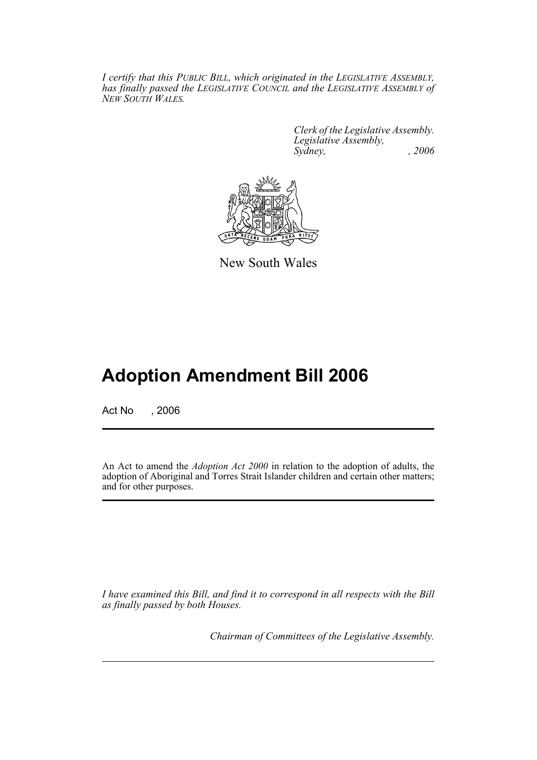*I certify that this PUBLIC BILL, which originated in the LEGISLATIVE ASSEMBLY, has finally passed the LEGISLATIVE COUNCIL and the LEGISLATIVE ASSEMBLY of NEW SOUTH WALES.*

> *Clerk of the Legislative Assembly. Legislative Assembly, Sydney, , 2006*



New South Wales

# **Adoption Amendment Bill 2006**

Act No , 2006

An Act to amend the *Adoption Act 2000* in relation to the adoption of adults, the adoption of Aboriginal and Torres Strait Islander children and certain other matters; and for other purposes.

*I have examined this Bill, and find it to correspond in all respects with the Bill as finally passed by both Houses.*

*Chairman of Committees of the Legislative Assembly.*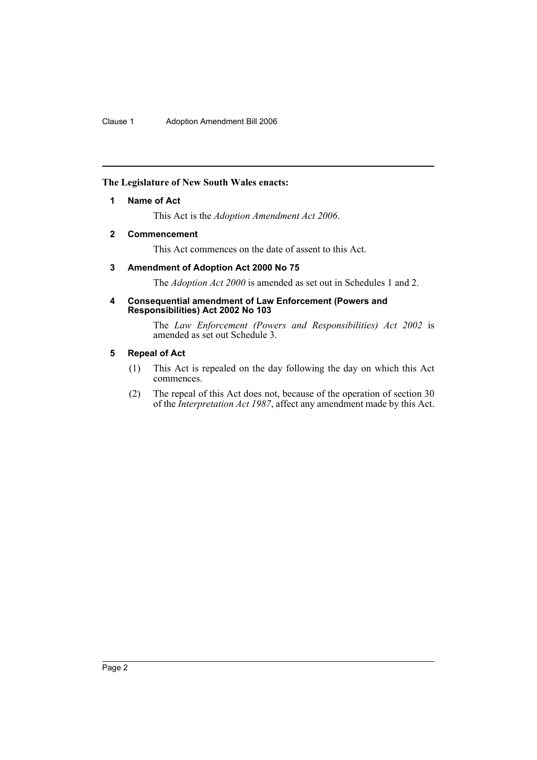Clause 1 Adoption Amendment Bill 2006

#### <span id="page-2-0"></span>**The Legislature of New South Wales enacts:**

#### **1 Name of Act**

This Act is the *Adoption Amendment Act 2006*.

#### <span id="page-2-1"></span>**2 Commencement**

This Act commences on the date of assent to this Act.

### <span id="page-2-2"></span>**3 Amendment of Adoption Act 2000 No 75**

The *Adoption Act 2000* is amended as set out in Schedules 1 and 2.

#### <span id="page-2-3"></span>**4 Consequential amendment of Law Enforcement (Powers and Responsibilities) Act 2002 No 103**

The *Law Enforcement (Powers and Responsibilities) Act 2002* is amended as set out Schedule 3.

## <span id="page-2-4"></span>**5 Repeal of Act**

- (1) This Act is repealed on the day following the day on which this Act commences.
- (2) The repeal of this Act does not, because of the operation of section 30 of the *Interpretation Act 1987*, affect any amendment made by this Act.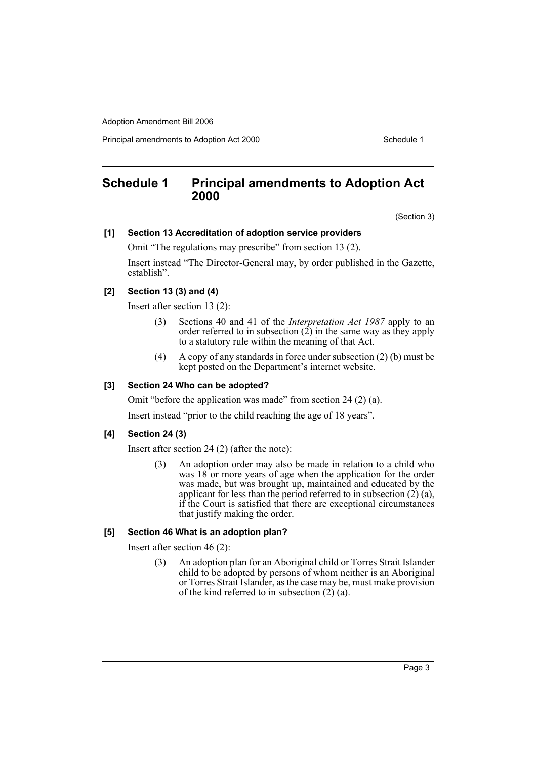Principal amendments to Adoption Act 2000 Schedule 1

# <span id="page-3-0"></span>**Schedule 1 Principal amendments to Adoption Act 2000**

(Section 3)

#### **[1] Section 13 Accreditation of adoption service providers**

Omit "The regulations may prescribe" from section 13 (2).

Insert instead "The Director-General may, by order published in the Gazette, establish".

## **[2] Section 13 (3) and (4)**

Insert after section 13 (2):

- (3) Sections 40 and 41 of the *Interpretation Act 1987* apply to an order referred to in subsection  $(2)$  in the same way as they apply to a statutory rule within the meaning of that Act.
- (4) A copy of any standards in force under subsection (2) (b) must be kept posted on the Department's internet website.

#### **[3] Section 24 Who can be adopted?**

Omit "before the application was made" from section 24 (2) (a).

Insert instead "prior to the child reaching the age of 18 years".

#### **[4] Section 24 (3)**

Insert after section 24 (2) (after the note):

(3) An adoption order may also be made in relation to a child who was 18 or more years of age when the application for the order was made, but was brought up, maintained and educated by the applicant for less than the period referred to in subsection  $(2)$   $(a)$ , if the Court is satisfied that there are exceptional circumstances that justify making the order.

#### **[5] Section 46 What is an adoption plan?**

Insert after section 46 (2):

(3) An adoption plan for an Aboriginal child or Torres Strait Islander child to be adopted by persons of whom neither is an Aboriginal or Torres Strait Islander, as the case may be, must make provision of the kind referred to in subsection (2) (a).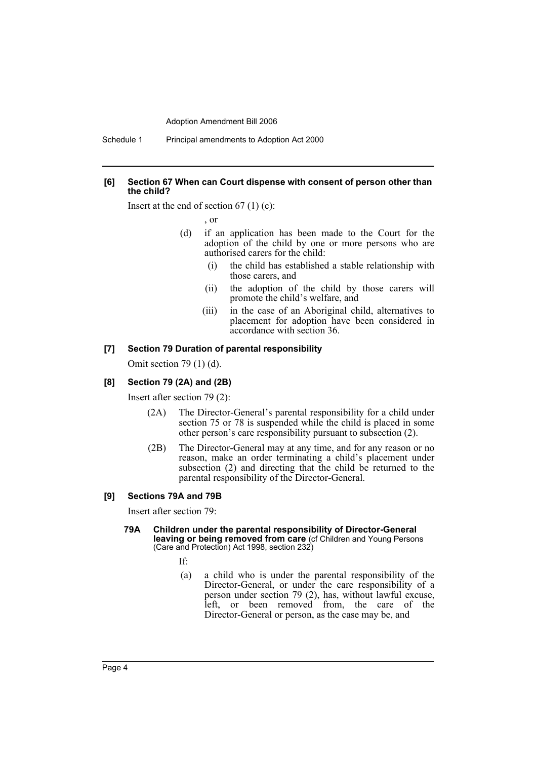#### **[6] Section 67 When can Court dispense with consent of person other than the child?**

Insert at the end of section  $67(1)(c)$ :

, or

- (d) if an application has been made to the Court for the adoption of the child by one or more persons who are authorised carers for the child:
	- (i) the child has established a stable relationship with those carers, and
	- (ii) the adoption of the child by those carers will promote the child's welfare, and
	- (iii) in the case of an Aboriginal child, alternatives to placement for adoption have been considered in accordance with section 36.

#### **[7] Section 79 Duration of parental responsibility**

Omit section 79 (1) (d).

#### **[8] Section 79 (2A) and (2B)**

Insert after section 79 (2):

- (2A) The Director-General's parental responsibility for a child under section 75 or 78 is suspended while the child is placed in some other person's care responsibility pursuant to subsection (2).
- (2B) The Director-General may at any time, and for any reason or no reason, make an order terminating a child's placement under subsection (2) and directing that the child be returned to the parental responsibility of the Director-General.

#### **[9] Sections 79A and 79B**

Insert after section 79:

#### **79A Children under the parental responsibility of Director-General leaving or being removed from care** (cf Children and Young Persons (Care and Protection) Act 1998, section 232)

- If:
- (a) a child who is under the parental responsibility of the Director-General, or under the care responsibility of a person under section 79 (2), has, without lawful excuse, left, or been removed from, the care of the Director-General or person, as the case may be, and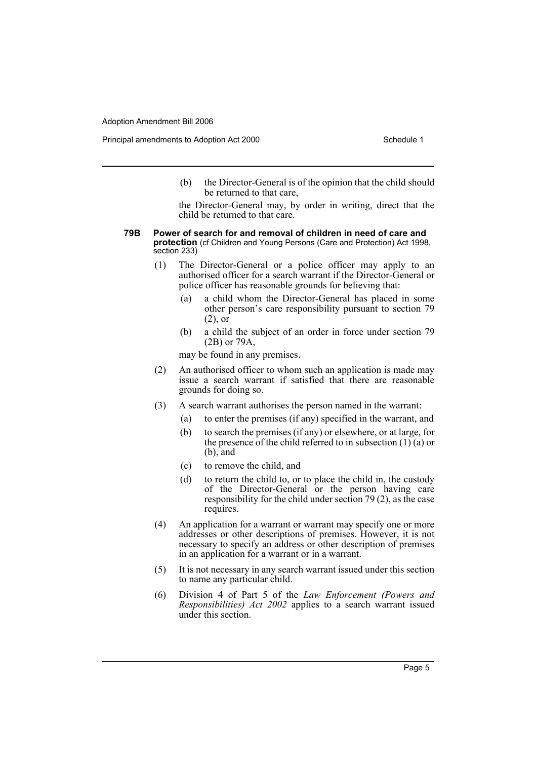(b) the Director-General is of the opinion that the child should be returned to that care,

the Director-General may, by order in writing, direct that the child be returned to that care.

- **79B Power of search for and removal of children in need of care and protection** (cf Children and Young Persons (Care and Protection) Act 1998, section 233)
	- (1) The Director-General or a police officer may apply to an authorised officer for a search warrant if the Director-General or police officer has reasonable grounds for believing that:
		- (a) a child whom the Director-General has placed in some other person's care responsibility pursuant to section 79 (2), or
		- (b) a child the subject of an order in force under section 79 (2B) or 79A,

may be found in any premises.

- (2) An authorised officer to whom such an application is made may issue a search warrant if satisfied that there are reasonable grounds for doing so.
- (3) A search warrant authorises the person named in the warrant:
	- (a) to enter the premises (if any) specified in the warrant, and
	- (b) to search the premises (if any) or elsewhere, or at large, for the presence of the child referred to in subsection  $(1)(a)$  or  $(b)$ , and
	- (c) to remove the child, and
	- (d) to return the child to, or to place the child in, the custody of the Director-General or the person having care responsibility for the child under section 79 (2), as the case requires.
- (4) An application for a warrant or warrant may specify one or more addresses or other descriptions of premises. However, it is not necessary to specify an address or other description of premises in an application for a warrant or in a warrant.
- (5) It is not necessary in any search warrant issued under this section to name any particular child.
- (6) Division 4 of Part 5 of the *Law Enforcement (Powers and Responsibilities) Act 2002* applies to a search warrant issued under this section.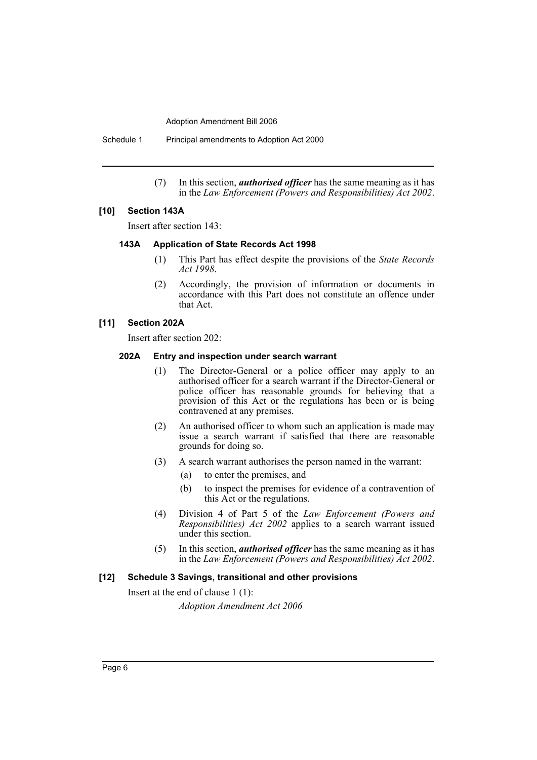Schedule 1 Principal amendments to Adoption Act 2000

(7) In this section, *authorised officer* has the same meaning as it has in the *Law Enforcement (Powers and Responsibilities) Act 2002*.

## **[10] Section 143A**

Insert after section 143:

#### **143A Application of State Records Act 1998**

- (1) This Part has effect despite the provisions of the *State Records Act 1998*.
- (2) Accordingly, the provision of information or documents in accordance with this Part does not constitute an offence under that Act.

#### **[11] Section 202A**

Insert after section 202:

#### **202A Entry and inspection under search warrant**

- (1) The Director-General or a police officer may apply to an authorised officer for a search warrant if the Director-General or police officer has reasonable grounds for believing that a provision of this Act or the regulations has been or is being contravened at any premises.
- (2) An authorised officer to whom such an application is made may issue a search warrant if satisfied that there are reasonable grounds for doing so.
- (3) A search warrant authorises the person named in the warrant:
	- (a) to enter the premises, and
	- (b) to inspect the premises for evidence of a contravention of this Act or the regulations.
- (4) Division 4 of Part 5 of the *Law Enforcement (Powers and Responsibilities) Act 2002* applies to a search warrant issued under this section.
- (5) In this section, *authorised officer* has the same meaning as it has in the *Law Enforcement (Powers and Responsibilities) Act 2002*.

#### **[12] Schedule 3 Savings, transitional and other provisions**

Insert at the end of clause 1 (1):

*Adoption Amendment Act 2006*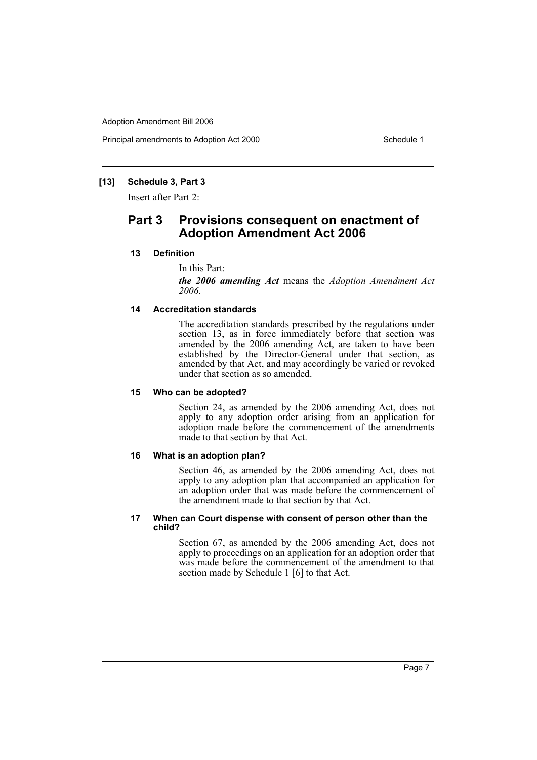Principal amendments to Adoption Act 2000 Schedule 1

#### **[13] Schedule 3, Part 3**

Insert after Part 2:

# **Part 3 Provisions consequent on enactment of Adoption Amendment Act 2006**

#### **13 Definition**

In this Part:

*the 2006 amending Act* means the *Adoption Amendment Act 2006*.

#### **14 Accreditation standards**

The accreditation standards prescribed by the regulations under section 13, as in force immediately before that section was amended by the 2006 amending Act, are taken to have been established by the Director-General under that section, as amended by that Act, and may accordingly be varied or revoked under that section as so amended.

#### **15 Who can be adopted?**

Section 24, as amended by the 2006 amending Act, does not apply to any adoption order arising from an application for adoption made before the commencement of the amendments made to that section by that Act.

#### **16 What is an adoption plan?**

Section 46, as amended by the 2006 amending Act, does not apply to any adoption plan that accompanied an application for an adoption order that was made before the commencement of the amendment made to that section by that Act.

#### **17 When can Court dispense with consent of person other than the child?**

Section 67, as amended by the 2006 amending Act, does not apply to proceedings on an application for an adoption order that was made before the commencement of the amendment to that section made by Schedule 1 [6] to that Act.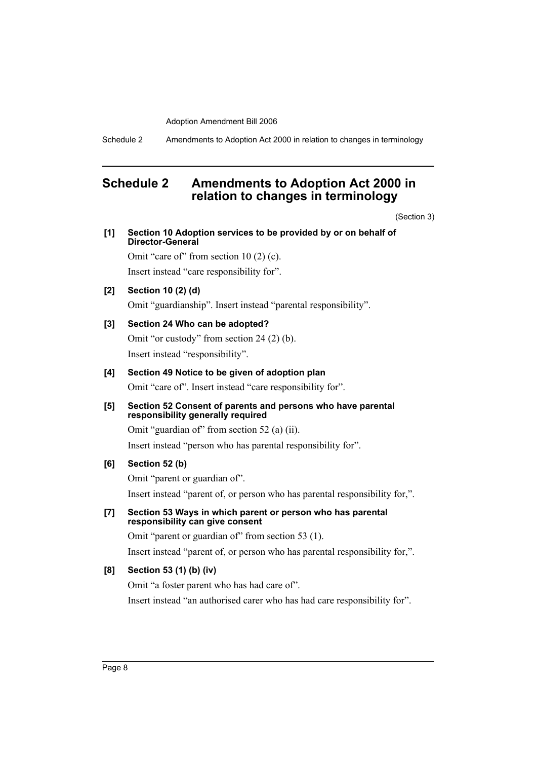Schedule 2 Amendments to Adoption Act 2000 in relation to changes in terminology

# <span id="page-8-0"></span>**Schedule 2 Amendments to Adoption Act 2000 in relation to changes in terminology**

(Section 3)

|     | <i><b>SECTIOL</b></i>                                                                            |
|-----|--------------------------------------------------------------------------------------------------|
| [1] | Section 10 Adoption services to be provided by or on behalf of<br>Director-General               |
|     | Omit "care of" from section $10(2)$ (c).                                                         |
|     | Insert instead "care responsibility for".                                                        |
| [2] | Section 10 (2) (d)                                                                               |
|     | Omit "guardianship". Insert instead "parental responsibility".                                   |
| [3] | Section 24 Who can be adopted?                                                                   |
|     | Omit "or custody" from section $24(2)(b)$ .                                                      |
|     | Insert instead "responsibility".                                                                 |
| [4] | Section 49 Notice to be given of adoption plan                                                   |
|     | Omit "care of". Insert instead "care responsibility for".                                        |
| [5] | Section 52 Consent of parents and persons who have parental<br>responsibility generally required |
|     | Omit "guardian of" from section 52 (a) (ii).                                                     |
|     | Insert instead "person who has parental responsibility for".                                     |
| [6] | Section 52 (b)                                                                                   |
|     | Omit "parent or guardian of".                                                                    |
|     | Insert instead "parent of, or person who has parental responsibility for,".                      |
| [7] | Section 53 Ways in which parent or person who has parental<br>responsibility can give consent    |
|     | Omit "parent or guardian of" from section 53 (1).                                                |
|     | Insert instead "parent of, or person who has parental responsibility for,".                      |
| [8] | Section 53 (1) (b) (iv)                                                                          |
|     | Omit "a foster parent who has had care of".                                                      |
|     | Insert instead "an authorised carer who has had care responsibility for".                        |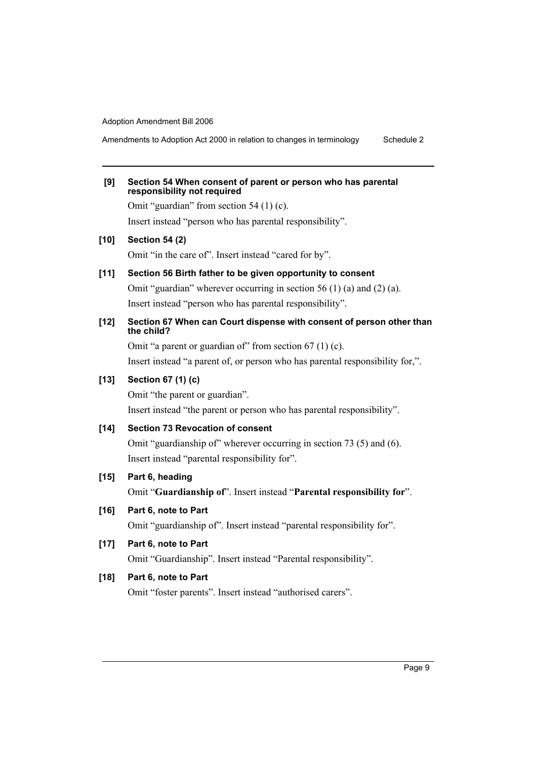Amendments to Adoption Act 2000 in relation to changes in terminology Schedule 2

| [9]    | Section 54 When consent of parent or person who has parental<br>responsibility not required |
|--------|---------------------------------------------------------------------------------------------|
|        | Omit "guardian" from section $54(1)(c)$ .                                                   |
|        | Insert instead "person who has parental responsibility".                                    |
| $[10]$ | <b>Section 54 (2)</b>                                                                       |
|        | Omit "in the care of". Insert instead "cared for by".                                       |
| $[11]$ | Section 56 Birth father to be given opportunity to consent                                  |
|        | Omit "guardian" wherever occurring in section 56 (1) (a) and (2) (a).                       |
|        | Insert instead "person who has parental responsibility".                                    |
| $[12]$ | Section 67 When can Court dispense with consent of person other than<br>the child?          |
|        | Omit "a parent or guardian of" from section $67$ (1) (c).                                   |
|        | Insert instead "a parent of, or person who has parental responsibility for,".               |
| $[13]$ | Section 67 (1) (c)                                                                          |
|        | Omit "the parent or guardian".                                                              |
|        | Insert instead "the parent or person who has parental responsibility".                      |
| $[14]$ | <b>Section 73 Revocation of consent</b>                                                     |
|        | Omit "guardianship of" wherever occurring in section 73 (5) and (6).                        |
|        | Insert instead "parental responsibility for".                                               |
| $[15]$ | Part 6, heading                                                                             |
|        | Omit "Guardianship of". Insert instead "Parental responsibility for".                       |
| [16]   | Part 6, note to Part                                                                        |
|        | Omit "guardianship of". Insert instead "parental responsibility for".                       |
|        |                                                                                             |

**[17] Part 6, note to Part**

Omit "Guardianship". Insert instead "Parental responsibility".

# **[18] Part 6, note to Part**

Omit "foster parents". Insert instead "authorised carers".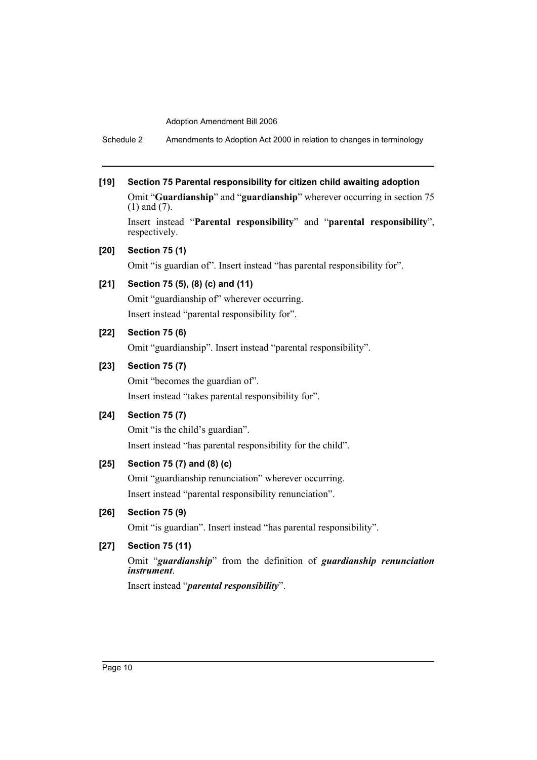Schedule 2 Amendments to Adoption Act 2000 in relation to changes in terminology

# **[19] Section 75 Parental responsibility for citizen child awaiting adoption**

Omit "**Guardianship**" and "**guardianship**" wherever occurring in section 75 (1) and (7).

Insert instead "**Parental responsibility**" and "**parental responsibility**", respectively.

#### **[20] Section 75 (1)**

Omit "is guardian of". Insert instead "has parental responsibility for".

# **[21] Section 75 (5), (8) (c) and (11)**

Omit "guardianship of" wherever occurring. Insert instead "parental responsibility for".

# **[22] Section 75 (6)**

Omit "guardianship". Insert instead "parental responsibility".

## **[23] Section 75 (7)**

Omit "becomes the guardian of". Insert instead "takes parental responsibility for".

### **[24] Section 75 (7)**

Omit "is the child's guardian". Insert instead "has parental responsibility for the child".

#### **[25] Section 75 (7) and (8) (c)**

Omit "guardianship renunciation" wherever occurring. Insert instead "parental responsibility renunciation".

# **[26] Section 75 (9)**

Omit "is guardian". Insert instead "has parental responsibility".

## **[27] Section 75 (11)**

Omit "*guardianship*" from the definition of *guardianship renunciation instrument*.

Insert instead "*parental responsibility*".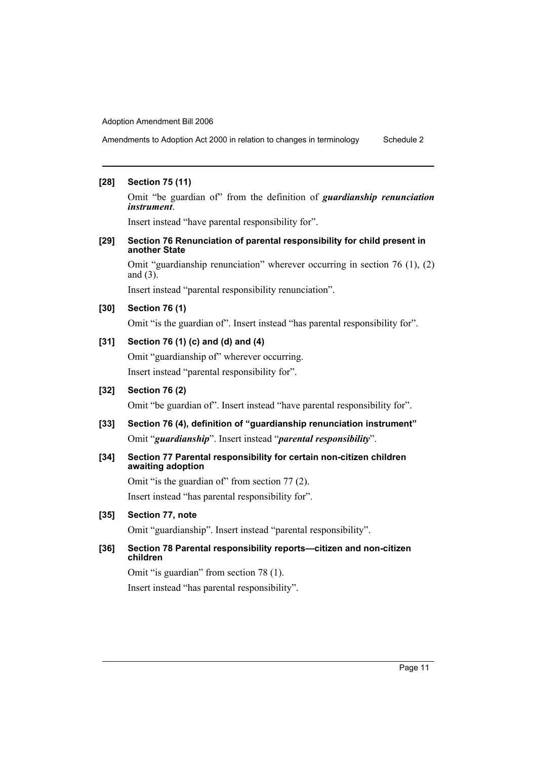Amendments to Adoption Act 2000 in relation to changes in terminology Schedule 2

#### **[28] Section 75 (11)**

Omit "be guardian of" from the definition of *guardianship renunciation instrument*.

Insert instead "have parental responsibility for".

#### **[29] Section 76 Renunciation of parental responsibility for child present in another State**

Omit "guardianship renunciation" wherever occurring in section 76 (1), (2) and (3).

Insert instead "parental responsibility renunciation".

#### **[30] Section 76 (1)**

Omit "is the guardian of". Insert instead "has parental responsibility for".

## **[31] Section 76 (1) (c) and (d) and (4)**

Omit "guardianship of" wherever occurring. Insert instead "parental responsibility for".

# **[32] Section 76 (2)**

Omit "be guardian of". Insert instead "have parental responsibility for".

# **[33] Section 76 (4), definition of "guardianship renunciation instrument"** Omit "*guardianship*". Insert instead "*parental responsibility*".

#### **[34] Section 77 Parental responsibility for certain non-citizen children awaiting adoption**

Omit "is the guardian of" from section 77 (2). Insert instead "has parental responsibility for".

#### **[35] Section 77, note**

Omit "guardianship". Insert instead "parental responsibility".

#### **[36] Section 78 Parental responsibility reports—citizen and non-citizen children**

Omit "is guardian" from section 78 (1). Insert instead "has parental responsibility".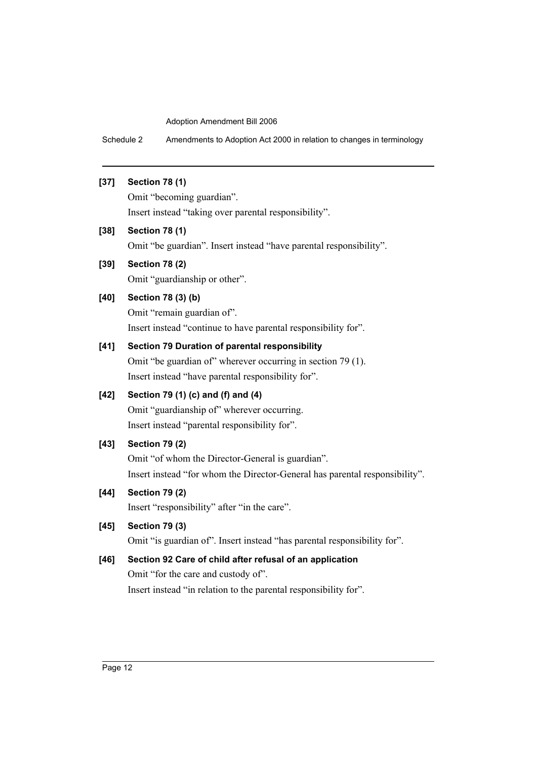Schedule 2 Amendments to Adoption Act 2000 in relation to changes in terminology

# **[37] Section 78 (1)**

Omit "becoming guardian". Insert instead "taking over parental responsibility".

# **[38] Section 78 (1)**

Omit "be guardian". Insert instead "have parental responsibility".

# **[39] Section 78 (2)**

Omit "guardianship or other".

# **[40] Section 78 (3) (b)**

Omit "remain guardian of". Insert instead "continue to have parental responsibility for".

# **[41] Section 79 Duration of parental responsibility**

Omit "be guardian of" wherever occurring in section 79 (1). Insert instead "have parental responsibility for".

# **[42] Section 79 (1) (c) and (f) and (4)**

Omit "guardianship of" wherever occurring. Insert instead "parental responsibility for".

## **[43] Section 79 (2)**

Omit "of whom the Director-General is guardian". Insert instead "for whom the Director-General has parental responsibility".

# **[44] Section 79 (2)**

Insert "responsibility" after "in the care".

## **[45] Section 79 (3)**

Omit "is guardian of". Insert instead "has parental responsibility for".

# **[46] Section 92 Care of child after refusal of an application**

Omit "for the care and custody of". Insert instead "in relation to the parental responsibility for".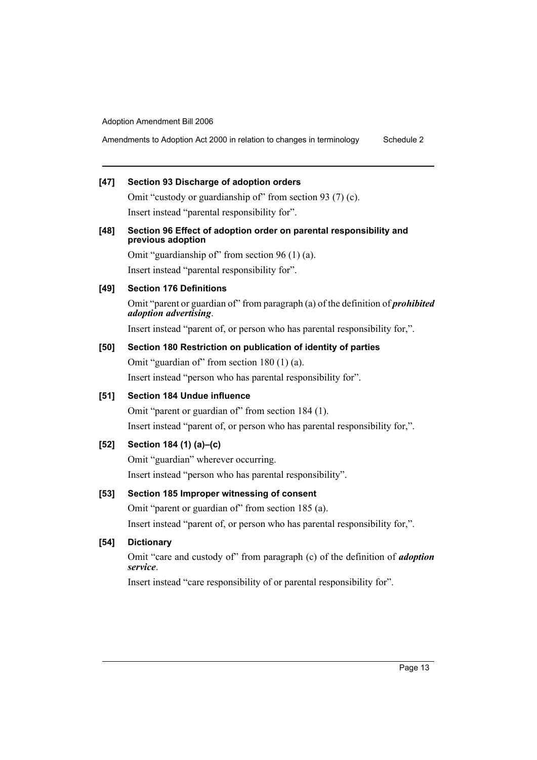Amendments to Adoption Act 2000 in relation to changes in terminology Schedule 2

## **[47] Section 93 Discharge of adoption orders**

Omit "custody or guardianship of" from section 93 (7) (c). Insert instead "parental responsibility for".

#### **[48] Section 96 Effect of adoption order on parental responsibility and previous adoption**

Omit "guardianship of" from section 96 (1) (a). Insert instead "parental responsibility for".

#### **[49] Section 176 Definitions**

Omit "parent or guardian of" from paragraph (a) of the definition of *prohibited adoption advertising*.

Insert instead "parent of, or person who has parental responsibility for,".

### **[50] Section 180 Restriction on publication of identity of parties**

Omit "guardian of" from section 180 (1) (a).

Insert instead "person who has parental responsibility for".

# **[51] Section 184 Undue influence**

Omit "parent or guardian of" from section 184 (1). Insert instead "parent of, or person who has parental responsibility for,".

## **[52] Section 184 (1) (a)–(c)**

Omit "guardian" wherever occurring. Insert instead "person who has parental responsibility".

#### **[53] Section 185 Improper witnessing of consent**

Omit "parent or guardian of" from section 185 (a).

Insert instead "parent of, or person who has parental responsibility for,".

## **[54] Dictionary**

Omit "care and custody of" from paragraph (c) of the definition of *adoption service*.

Insert instead "care responsibility of or parental responsibility for".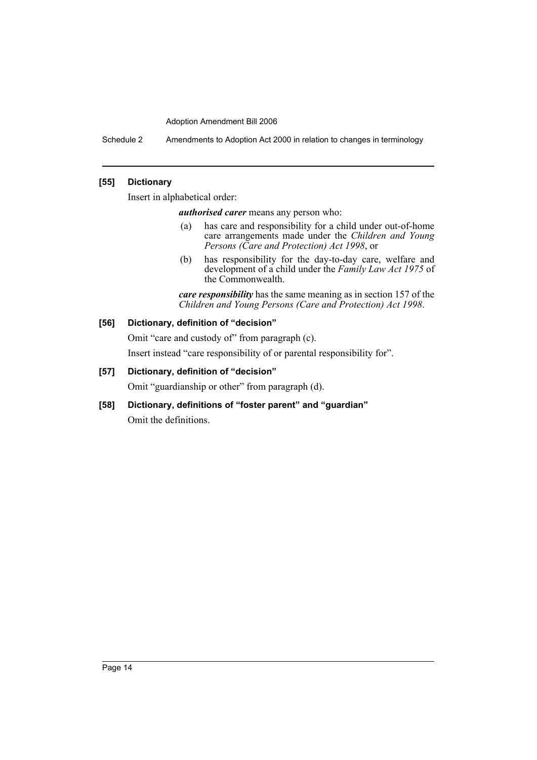Schedule 2 Amendments to Adoption Act 2000 in relation to changes in terminology

# **[55] Dictionary**

Insert in alphabetical order:

*authorised carer* means any person who:

- (a) has care and responsibility for a child under out-of-home care arrangements made under the *Children and Young Persons (Care and Protection) Act 1998*, or
- (b) has responsibility for the day-to-day care, welfare and development of a child under the *Family Law Act 1975* of the Commonwealth.

*care responsibility* has the same meaning as in section 157 of the *Children and Young Persons (Care and Protection) Act 1998*.

## **[56] Dictionary, definition of "decision"**

Omit "care and custody of" from paragraph (c). Insert instead "care responsibility of or parental responsibility for".

## **[57] Dictionary, definition of "decision"**

Omit "guardianship or other" from paragraph (d).

**[58] Dictionary, definitions of "foster parent" and "guardian"** Omit the definitions.